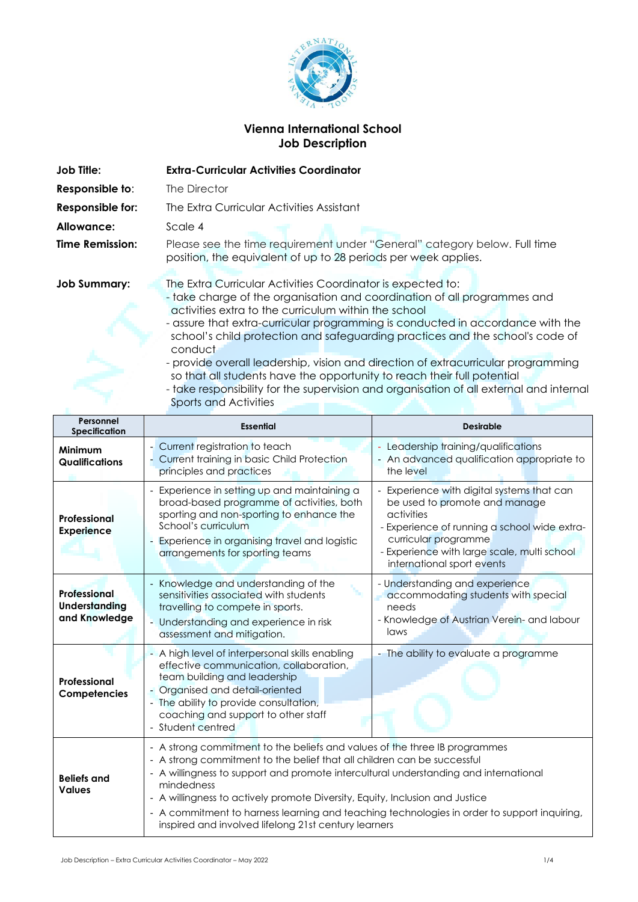

# **Vienna International School Job Description**

| Job Tille:             | <b>Extra-Curricular Activities Coordinator</b>                                                                                                                                                                                                                                                                                                                                                                                                                     |
|------------------------|--------------------------------------------------------------------------------------------------------------------------------------------------------------------------------------------------------------------------------------------------------------------------------------------------------------------------------------------------------------------------------------------------------------------------------------------------------------------|
| Responsible to:        | The Director                                                                                                                                                                                                                                                                                                                                                                                                                                                       |
| Responsible for:       | The Extra Curricular Activities Assistant                                                                                                                                                                                                                                                                                                                                                                                                                          |
| Allowance:             | Scale 4                                                                                                                                                                                                                                                                                                                                                                                                                                                            |
| <b>Time Remission:</b> | Please see the time requirement under "General" category below. Full time<br>position, the equivalent of up to 28 periods per week applies.                                                                                                                                                                                                                                                                                                                        |
| <b>Job Summary:</b>    | The Extra Curricular Activities Coordinator is expected to:<br>- take charge of the organisation and coordination of all programmes and<br>activities extra to the curriculum within the school<br>- assure that extra-curricular programming is conducted in accordance with the<br>school's child protection and safeguarding practices and the school's code of<br>conduct<br>- provide overall leadership, vision and direction of extracurricular programming |

so that all students have the opportunity to reach their full potential - take responsibility for the supervision and organisation of all external and internal

| Personnel<br><b>Specification</b>                     | <b>Essential</b>                                                                                                                                                                                                                                                    | <b>Desirable</b>                                                                                                                                                                                                                               |
|-------------------------------------------------------|---------------------------------------------------------------------------------------------------------------------------------------------------------------------------------------------------------------------------------------------------------------------|------------------------------------------------------------------------------------------------------------------------------------------------------------------------------------------------------------------------------------------------|
| Minimum<br><b>Qualifications</b>                      | - Current registration to teach<br>- Current training in basic Child Protection<br>principles and practices                                                                                                                                                         | - Leadership training/qualifications<br>- An advanced qualification appropriate to<br>the level                                                                                                                                                |
| Professional<br><b>Experience</b>                     | - Experience in setting up and maintaining a<br>broad-based programme of activities, both<br>sporting and non-sporting to enhance the<br>School's curriculum<br>- Experience in organising travel and logistic<br>arrangements for sporting teams                   | - Experience with digital systems that can<br>be used to promote and manage<br>activities<br>- Experience of running a school wide extra-<br>curricular programme<br>- Experience with large scale, multi school<br>international sport events |
| Professional<br><b>Understanding</b><br>and Knowledge | - Knowledge and understanding of the<br>sensitivities associated with students<br>travelling to compete in sports.<br>- Understanding and experience in risk<br>assessment and mitigation.                                                                          | - Understanding and experience<br>accommodating students with special<br>needs<br>- Knowledge of Austrian Verein- and labour<br>laws                                                                                                           |
| Professional<br>Competencies                          | - A high level of interpersonal skills enabling<br>effective communication, collaboration,<br>team building and leadership<br>- Organised and detail-oriented<br>- The ability to provide consultation,<br>coaching and support to other staff<br>- Student centred | - The ability to evaluate a programme                                                                                                                                                                                                          |
| <b>Beliefs and</b><br><b>Values</b>                   | - A strong commitment to the beliefs and values of the three IB programmes<br>- A strong commitment to the belief that all children can be successful<br>- A willingness to support and promote intercultural understanding and international<br>mindedness         |                                                                                                                                                                                                                                                |

- A willingness to actively promote Diversity, Equity, Inclusion and Justice
- A commitment to harness learning and teaching technologies in order to support inquiring, inspired and involved lifelong 21st century learners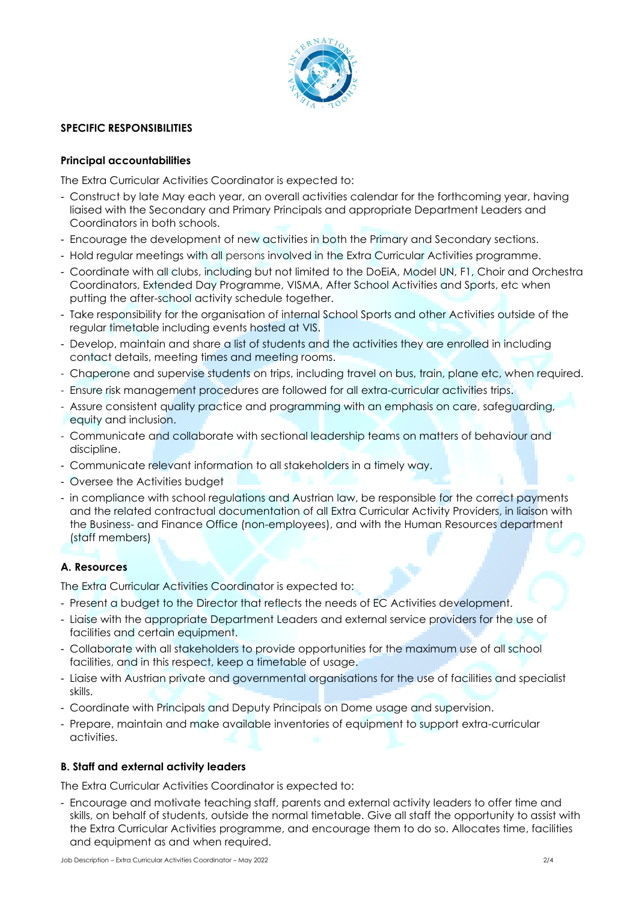

### **SPECIFIC RESPONSIBILITIES**

#### **Principal accountabilities**

The Extra Curricular Activities Coordinator is expected to:

- Construct by late May each year, an overall activities calendar for the forthcoming year, having liaised with the Secondary and Primary Principals and appropriate Department Leaders and Coordinators in both schools.
- Encourage the development of new activities in both the Primary and Secondary sections.
- Hold regular meetings with all persons involved in the Extra Curricular Activities programme.
- Coordinate with all clubs, including but not limited to the DoEiA, Model UN, F1, Choir and Orchestra Coordinators, Extended Day Programme, VISMA, After School Activities and Sports, etc when putting the after-school activity schedule together.
- Take responsibility for the organisation of internal School Sports and other Activities outside of the regular timetable including events hosted at VIS.
- Develop, maintain and share a list of students and the activities they are enrolled in including contact details, meeting times and meeting rooms.
- Chaperone and supervise students on trips, including travel on bus, train, plane etc, when required.
- Ensure risk management procedures are followed for all extra-curricular activities trips.
- Assure consistent quality practice and programming with an emphasis on care, safeguarding, equity and inclusion.
- Communicate and collaborate with sectional leadership teams on matters of behaviour and discipline.
- Communicate relevant information to all stakeholders in a timely way.
- Oversee the Activities budget
- in compliance with school regulations and Austrian law, be responsible for the correct payments and the related contractual documentation of all Extra Curricular Activity Providers, in liaison with the Business- and Finance Office (non-employees), and with the Human Resources department (staff members)

# **A. Resources**

The Extra Curricular Activities Coordinator is expected to:

- Present a budget to the Director that reflects the needs of EC Activities development.
- Liaise with the appropriate Department Leaders and external service providers for the use of facilities and certain equipment.
- Collaborate with all stakeholders to provide opportunities for the maximum use of all school facilities, and in this respect, keep a timetable of usage.
- Liaise with Austrian private and governmental organisations for the use of facilities and specialist skills.
- Coordinate with Principals and Deputy Principals on Dome usage and supervision.
- Prepare, maintain and make available inventories of equipment to support extra-curricular activities.

# **B. Staff and external activity leaders**

The Extra Curricular Activities Coordinator is expected to:

- Encourage and motivate teaching staff, parents and external activity leaders to offer time and skills, on behalf of students, outside the normal timetable. Give all staff the opportunity to assist with the Extra Curricular Activities programme, and encourage them to do so. Allocates time, facilities and equipment as and when required.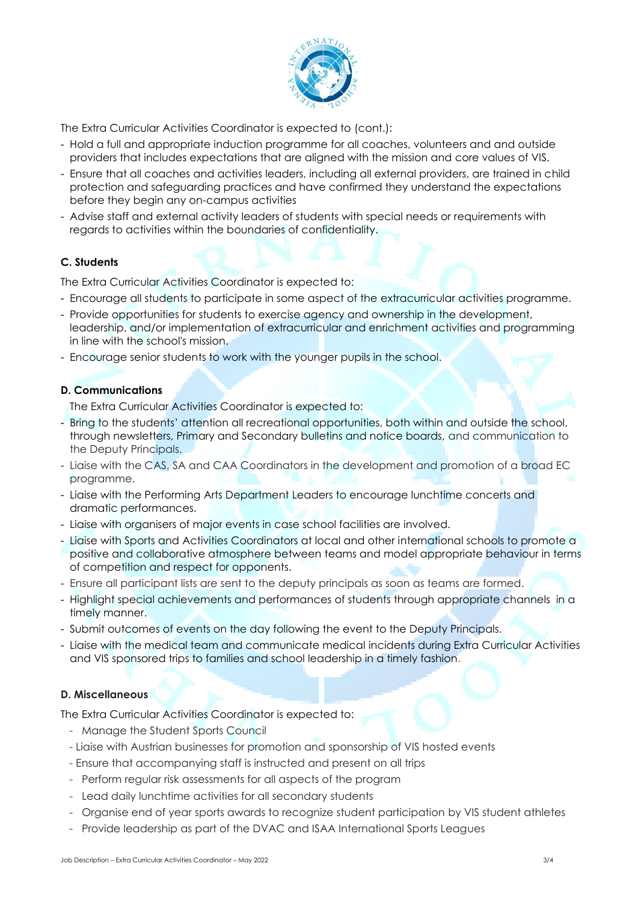

The Extra Curricular Activities Coordinator is expected to (cont.):

- Hold a full and appropriate induction programme for all coaches, volunteers and and outside providers that includes expectations that are aligned with the mission and core values of VIS.
- Ensure that all coaches and activities leaders, including all external providers, are trained in child protection and safeguarding practices and have confirmed they understand the expectations before they begin any on-campus activities
- Advise staff and external activity leaders of students with special needs or requirements with regards to activities within the boundaries of confidentiality.

# **C. Students**

The Extra Curricular Activities Coordinator is expected to:

- Encourage all students to participate in some aspect of the extracurricular activities programme.
- Provide opportunities for students to exercise agency and ownership in the development, leadership, and/or implementation of extracurricular and enrichment activities and programming in line with the school's mission.
- Encourage senior students to work with the younger pupils in the school.

### **D. Communications**

The Extra Curricular Activities Coordinator is expected to:

- Bring to the students' attention all recreational opportunities, both within and outside the school, through newsletters, Primary and Secondary bulletins and notice boards, and communication to the Deputy Principals.
- Liaise with the CAS, SA and CAA Coordinators in the development and promotion of a broad EC programme.
- Liaise with the Performing Arts Department Leaders to encourage lunchtime concerts and dramatic performances.
- Liaise with organisers of major events in case school facilities are involved.
- Liaise with Sports and Activities Coordinators at local and other international schools to promote a positive and collaborative atmosphere between teams and model appropriate behaviour in terms of competition and respect for opponents.
- Ensure all participant lists are sent to the deputy principals as soon as teams are formed.
- Highlight special achievements and performances of students through appropriate channels in a timely manner.
- Submit outcomes of events on the day following the event to the Deputy Principals.
- Liaise with the medical team and communicate medical incidents during Extra Curricular Activities and VIS sponsored trips to families and school leadership in a timely fashion.

# **D. Miscellaneous**

The Extra Curricular Activities Coordinator is expected to:

- Manage the Student Sports Council
- Liaise with Austrian businesses for promotion and sponsorship of VIS hosted events
- Ensure that accompanying staff is instructed and present on all trips
- Perform regular risk assessments for all aspects of the program
- Lead daily lunchtime activities for all secondary students
- Organise end of year sports awards to recognize student participation by VIS student athletes
- Provide leadership as part of the DVAC and ISAA International Sports Leagues